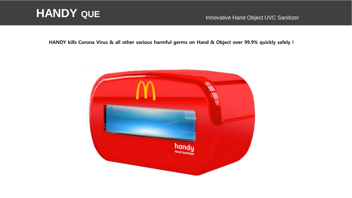# **HANDY QUE** Innovative Hand Object UVC Sanitizer

HANDY kills Corona Virus & all other various harmful germs on Hand & Object over 99.9% quickly safely !

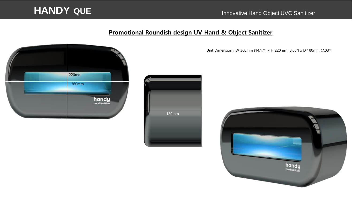

### Promotional Roundish design UV Hand & Object Sanitizer



Unit Dimension : W 360mm (14.17") x H 220mm (8.66") x D 180mm (7.08")



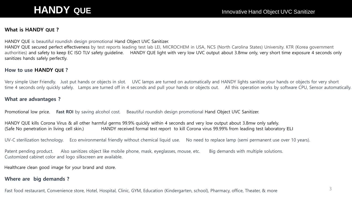#### What is HANDY QUE ?

HANDY QUE is beautiful roundish design promotional Hand Object UVC Sanitizer.

HANDY QUE secured perfect effectiveness by test reports leading test lab LEI, MICROCHEM in USA, NCS (North Carolina States) University. KTR (Korea government authorities) and safety to keep EC ISO TLV safety guideline. HANDY QUE light with very low UVC output about 3.8mw only, very short time exposure 4 seconds only sanitizes hands safely perfectly.

#### How to use HANDY QUE ?

Very simple User Friendly. Just put hands or objects in slot. UVC lamps are turned on automatically and HANDY lights sanitize your hands or objects for very short time 4 seconds only quickly safely. Lamps are turned off in 4 seconds and pull your hands or objects out. All this operation works by software CPU, Sensor automatically.

#### What are advantages ?

Promotional low price. Fast ROI by saving alcohol cost. Beautiful roundish design promotional Hand Object UVC Sanitizer.

HANDY QUE kills Corona Virus & all other harmful germs 99.9% quickly within 4 seconds and very low output about 3.8mw only safely. (Safe No penetration in living cell skin.) HANDY received formal test report to kill Corona virus 99.99% from leading test laboratory ELI

UV-C sterilization technology. Eco environmental friendly without chemical liquid use. No need to replace lamp (semi permanent use over 10 years).

Patent pending product. Also sanitizes object like mobile phone, mask, eyeglasses, mouse, etc. Big demands with multiple solutions. Customized cabinet color and logo silkscreen are available.

Healthcare clean good image for your brand and store.

#### Where are big demands ?

Fast food restaurant, Convenience store, Hotel, Hospital, Clinic, GYM, Education (Kindergarten, school), Pharmacy, office, Theater, & more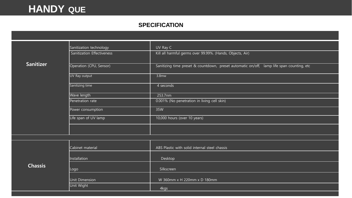## **HANDY QUE**

### **SPECIFICATION**

|                  | Sanitization technology    | UV Ray C                                                                                  |
|------------------|----------------------------|-------------------------------------------------------------------------------------------|
|                  | Sanitization Effectiveness | Kill all harmful germs over 99.99%. (Hands, Objects, Air)                                 |
| <b>Sanitizer</b> | Operation (CPU, Sensor)    | Sanitizing time preset & countdown, preset automatic on/off, lamp life span counting, etc |
|                  | UV Ray output              | 3.8 <sub>mw</sub>                                                                         |
|                  | Sanitizing time            | 4 seconds                                                                                 |
|                  | <b>Wave length</b>         | 253.7nm                                                                                   |
|                  | Penetration rate           | 0.001% (No penetration in living cell skin)                                               |
|                  | Power consumption          | 35W                                                                                       |
|                  | Life span of UV lamp       | 10,000 hours (over 10 years)                                                              |
|                  |                            |                                                                                           |
|                  |                            |                                                                                           |
|                  | Cabinet material           | ABS Plastic with solid internal steel chassis                                             |
|                  | Installation               | Desktop                                                                                   |
| <b>Chassis</b>   | Logo                       | Silkscreen                                                                                |
|                  | Unit Dimension             | W 360mm x H 220mm x D 180mm                                                               |
|                  | Unit Wight                 | 4kgs                                                                                      |